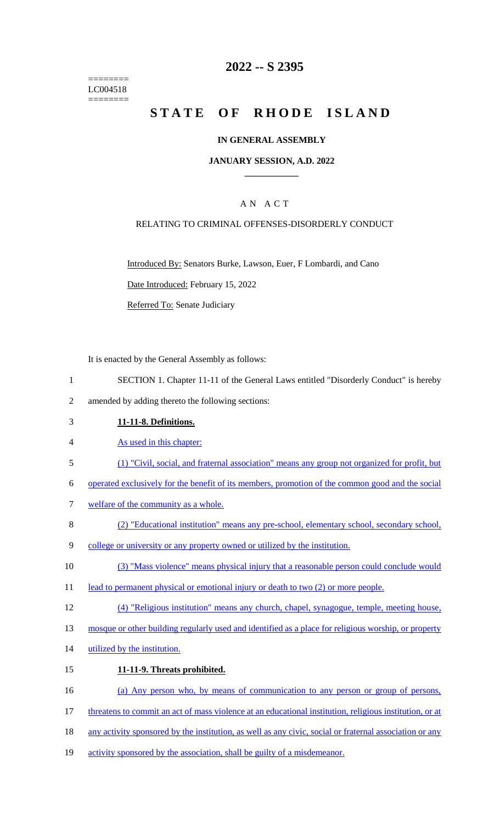======== LC004518 ========

# **2022 -- S 2395**

# **STATE OF RHODE ISLAND**

### **IN GENERAL ASSEMBLY**

### **JANUARY SESSION, A.D. 2022 \_\_\_\_\_\_\_\_\_\_\_\_**

### A N A C T

### RELATING TO CRIMINAL OFFENSES-DISORDERLY CONDUCT

Introduced By: Senators Burke, Lawson, Euer, F Lombardi, and Cano

Date Introduced: February 15, 2022

Referred To: Senate Judiciary

It is enacted by the General Assembly as follows:

- 1 SECTION 1. Chapter 11-11 of the General Laws entitled "Disorderly Conduct" is hereby
- 2 amended by adding thereto the following sections:
- 3 **11-11-8. Definitions.**
- 4 As used in this chapter:
- 5 (1) "Civil, social, and fraternal association" means any group not organized for profit, but

6 operated exclusively for the benefit of its members, promotion of the common good and the social

- 7 welfare of the community as a whole.
- 8 (2) "Educational institution" means any pre-school, elementary school, secondary school,
- 9 college or university or any property owned or utilized by the institution.
- 10 (3) "Mass violence" means physical injury that a reasonable person could conclude would
- 11 lead to permanent physical or emotional injury or death to two (2) or more people.
- 12 (4) "Religious institution" means any church, chapel, synagogue, temple, meeting house,
- 13 mosque or other building regularly used and identified as a place for religious worship, or property
- 14 utilized by the institution.
- 15 **11-11-9. Threats prohibited.**

16 (a) Any person who, by means of communication to any person or group of persons,

- 17 threatens to commit an act of mass violence at an educational institution, religious institution, or at
- 18 any activity sponsored by the institution, as well as any civic, social or fraternal association or any
- 19 activity sponsored by the association, shall be guilty of a misdemeanor.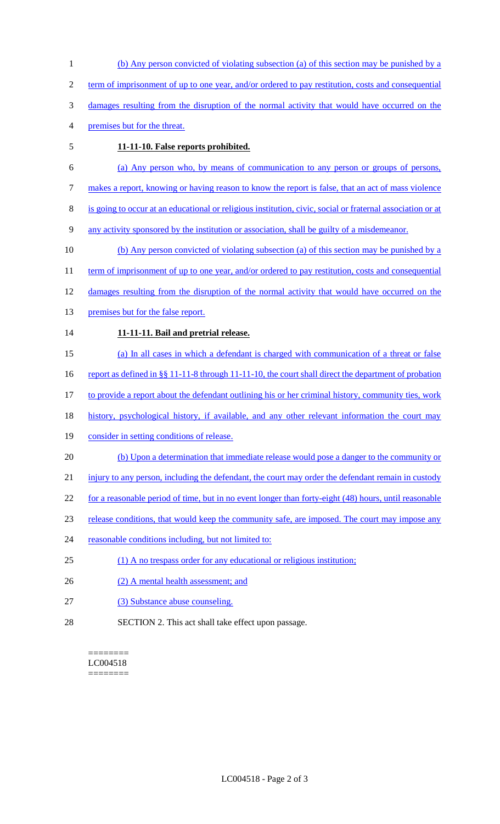- (b) Any person convicted of violating subsection (a) of this section may be punished by a term of imprisonment of up to one year, and/or ordered to pay restitution, costs and consequential damages resulting from the disruption of the normal activity that would have occurred on the premises but for the threat.
- 

# **11-11-10. False reports prohibited.**

- (a) Any person who, by means of communication to any person or groups of persons,
- makes a report, knowing or having reason to know the report is false, that an act of mass violence
- is going to occur at an educational or religious institution, civic, social or fraternal association or at
- any activity sponsored by the institution or association, shall be guilty of a misdemeanor.
- (b) Any person convicted of violating subsection (a) of this section may be punished by a
- 11 term of imprisonment of up to one year, and/or ordered to pay restitution, costs and consequential
- damages resulting from the disruption of the normal activity that would have occurred on the
- 13 premises but for the false report.

# **11-11-11. Bail and pretrial release.**

- (a) In all cases in which a defendant is charged with communication of a threat or false
- 16 report as defined in §§ 11-11-8 through 11-11-10, the court shall direct the department of probation
- 17 to provide a report about the defendant outlining his or her criminal history, community ties, work
- history, psychological history, if available, and any other relevant information the court may
- 19 consider in setting conditions of release.
- (b) Upon a determination that immediate release would pose a danger to the community or
- 21 injury to any person, including the defendant, the court may order the defendant remain in custody
- for a reasonable period of time, but in no event longer than forty-eight (48) hours, until reasonable
- release conditions, that would keep the community safe, are imposed. The court may impose any
- 24 reasonable conditions including, but not limited to:
- (1) A no trespass order for any educational or religious institution;
- 26 (2) A mental health assessment; and
- (3) Substance abuse counseling.
- SECTION 2. This act shall take effect upon passage.

#### ======== LC004518 ========